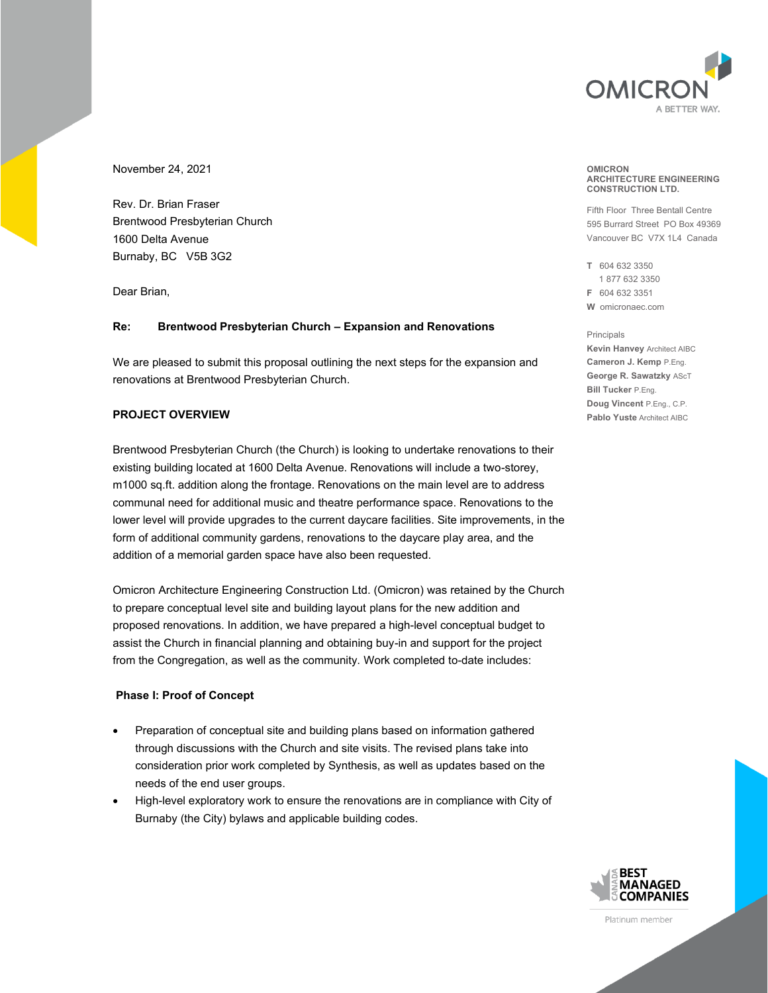

November 24, 2021

Rev. Dr. Brian Fraser Brentwood Presbyterian Church 1600 Delta Avenue Burnaby, BC V5B 3G2

Dear Brian,

#### **Re: Brentwood Presbyterian Church – Expansion and Renovations**

We are pleased to submit this proposal outlining the next steps for the expansion and renovations at Brentwood Presbyterian Church.

# **PROJECT OVERVIEW**

Brentwood Presbyterian Church (the Church) is looking to undertake renovations to their existing building located at 1600 Delta Avenue. Renovations will include a two-storey, m1000 sq.ft. addition along the frontage. Renovations on the main level are to address communal need for additional music and theatre performance space. Renovations to the lower level will provide upgrades to the current daycare facilities. Site improvements, in the form of additional community gardens, renovations to the daycare play area, and the addition of a memorial garden space have also been requested.

Omicron Architecture Engineering Construction Ltd. (Omicron) was retained by the Church to prepare conceptual level site and building layout plans for the new addition and proposed renovations. In addition, we have prepared a high-level conceptual budget to assist the Church in financial planning and obtaining buy-in and support for the project from the Congregation, as well as the community. Work completed to-date includes:

#### **Phase I: Proof of Concept**

- Preparation of conceptual site and building plans based on information gathered through discussions with the Church and site visits. The revised plans take into consideration prior work completed by Synthesis, as well as updates based on the needs of the end user groups.
- High-level exploratory work to ensure the renovations are in compliance with City of Burnaby (the City) bylaws and applicable building codes.

#### **OMICRON ARCHITECTURE ENGINEERING CONSTRUCTION LTD.**

Fifth Floor Three Bentall Centre 595 Burrard Street PO Box 49369 Vancouver BC V7X 1L4 Canada

**T** 604 632 3350 1 877 632 3350 **F** 604 632 3351 **W** omicronaec.com

#### Principals

**Kevin Hanvey** Architect AIBC **Cameron J. Kemp** P.Eng. **George R. Sawatzky** AScT **Bill Tucker** P.Eng. **Doug Vincent** P.Eng., C.P. **Pablo Yuste** Architect AIBC



Platinum member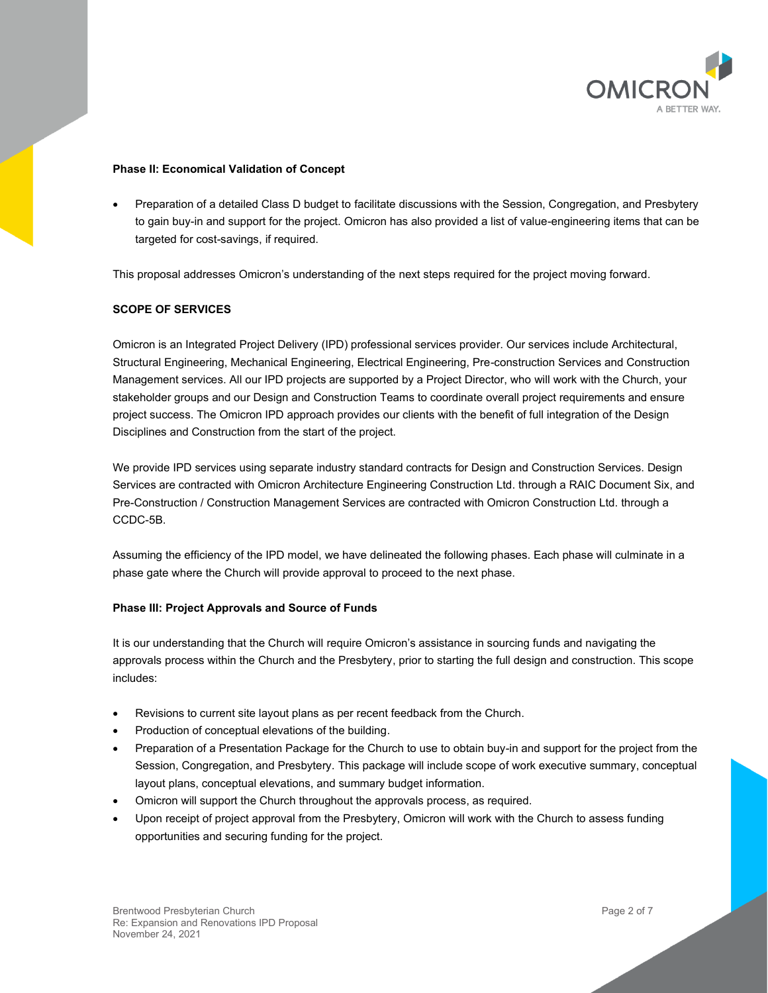

#### **Phase II: Economical Validation of Concept**

• Preparation of a detailed Class D budget to facilitate discussions with the Session, Congregation, and Presbytery to gain buy-in and support for the project. Omicron has also provided a list of value-engineering items that can be targeted for cost-savings, if required.

This proposal addresses Omicron's understanding of the next steps required for the project moving forward.

# **SCOPE OF SERVICES**

Omicron is an Integrated Project Delivery (IPD) professional services provider. Our services include Architectural, Structural Engineering, Mechanical Engineering, Electrical Engineering, Pre-construction Services and Construction Management services. All our IPD projects are supported by a Project Director, who will work with the Church, your stakeholder groups and our Design and Construction Teams to coordinate overall project requirements and ensure project success. The Omicron IPD approach provides our clients with the benefit of full integration of the Design Disciplines and Construction from the start of the project.

We provide IPD services using separate industry standard contracts for Design and Construction Services. Design Services are contracted with Omicron Architecture Engineering Construction Ltd. through a RAIC Document Six, and Pre-Construction / Construction Management Services are contracted with Omicron Construction Ltd. through a CCDC-5B.

Assuming the efficiency of the IPD model, we have delineated the following phases. Each phase will culminate in a phase gate where the Church will provide approval to proceed to the next phase.

#### **Phase III: Project Approvals and Source of Funds**

It is our understanding that the Church will require Omicron's assistance in sourcing funds and navigating the approvals process within the Church and the Presbytery, prior to starting the full design and construction. This scope includes:

- Revisions to current site layout plans as per recent feedback from the Church.
- Production of conceptual elevations of the building.
- Preparation of a Presentation Package for the Church to use to obtain buy-in and support for the project from the Session, Congregation, and Presbytery. This package will include scope of work executive summary, conceptual layout plans, conceptual elevations, and summary budget information.
- Omicron will support the Church throughout the approvals process, as required.
- Upon receipt of project approval from the Presbytery, Omicron will work with the Church to assess funding opportunities and securing funding for the project.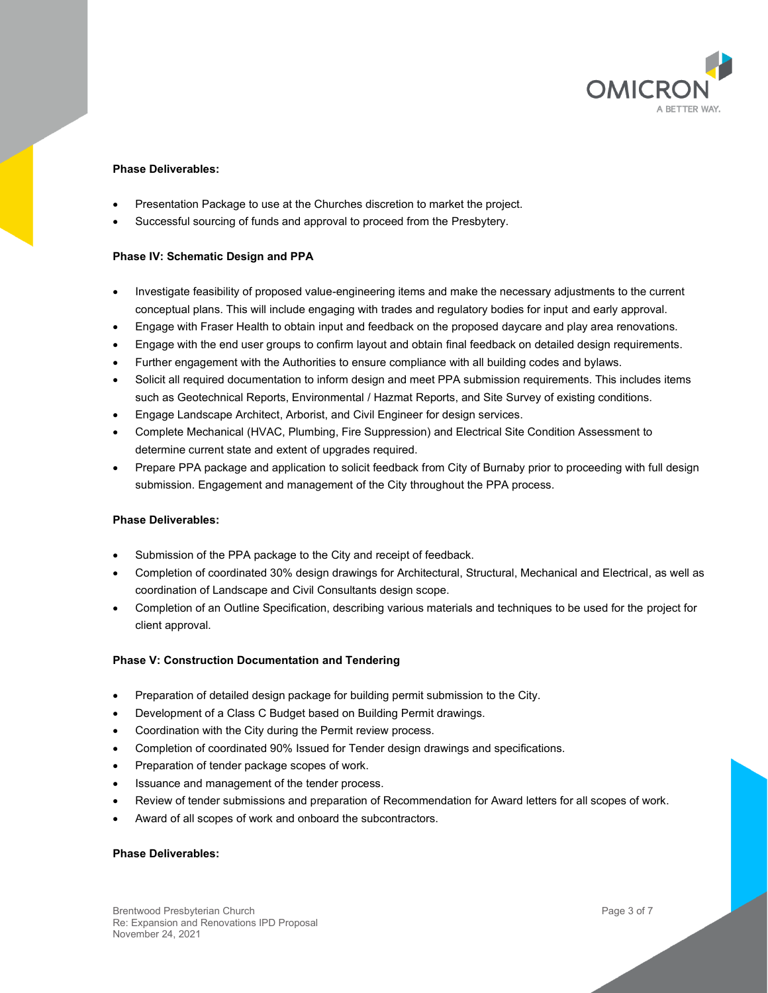

# **Phase Deliverables:**

- Presentation Package to use at the Churches discretion to market the project.
- Successful sourcing of funds and approval to proceed from the Presbytery.

#### **Phase IV: Schematic Design and PPA**

- Investigate feasibility of proposed value-engineering items and make the necessary adjustments to the current conceptual plans. This will include engaging with trades and regulatory bodies for input and early approval.
- Engage with Fraser Health to obtain input and feedback on the proposed daycare and play area renovations.
- Engage with the end user groups to confirm layout and obtain final feedback on detailed design requirements.
- Further engagement with the Authorities to ensure compliance with all building codes and bylaws.
- Solicit all required documentation to inform design and meet PPA submission requirements. This includes items such as Geotechnical Reports, Environmental / Hazmat Reports, and Site Survey of existing conditions.
- Engage Landscape Architect, Arborist, and Civil Engineer for design services.
- Complete Mechanical (HVAC, Plumbing, Fire Suppression) and Electrical Site Condition Assessment to determine current state and extent of upgrades required.
- Prepare PPA package and application to solicit feedback from City of Burnaby prior to proceeding with full design submission. Engagement and management of the City throughout the PPA process.

#### **Phase Deliverables:**

- Submission of the PPA package to the City and receipt of feedback.
- Completion of coordinated 30% design drawings for Architectural, Structural, Mechanical and Electrical, as well as coordination of Landscape and Civil Consultants design scope.
- Completion of an Outline Specification, describing various materials and techniques to be used for the project for client approval.

#### **Phase V: Construction Documentation and Tendering**

- Preparation of detailed design package for building permit submission to the City.
- Development of a Class C Budget based on Building Permit drawings.
- Coordination with the City during the Permit review process.
- Completion of coordinated 90% Issued for Tender design drawings and specifications.
- Preparation of tender package scopes of work.
- Issuance and management of the tender process.
- Review of tender submissions and preparation of Recommendation for Award letters for all scopes of work.
- Award of all scopes of work and onboard the subcontractors.

#### **Phase Deliverables:**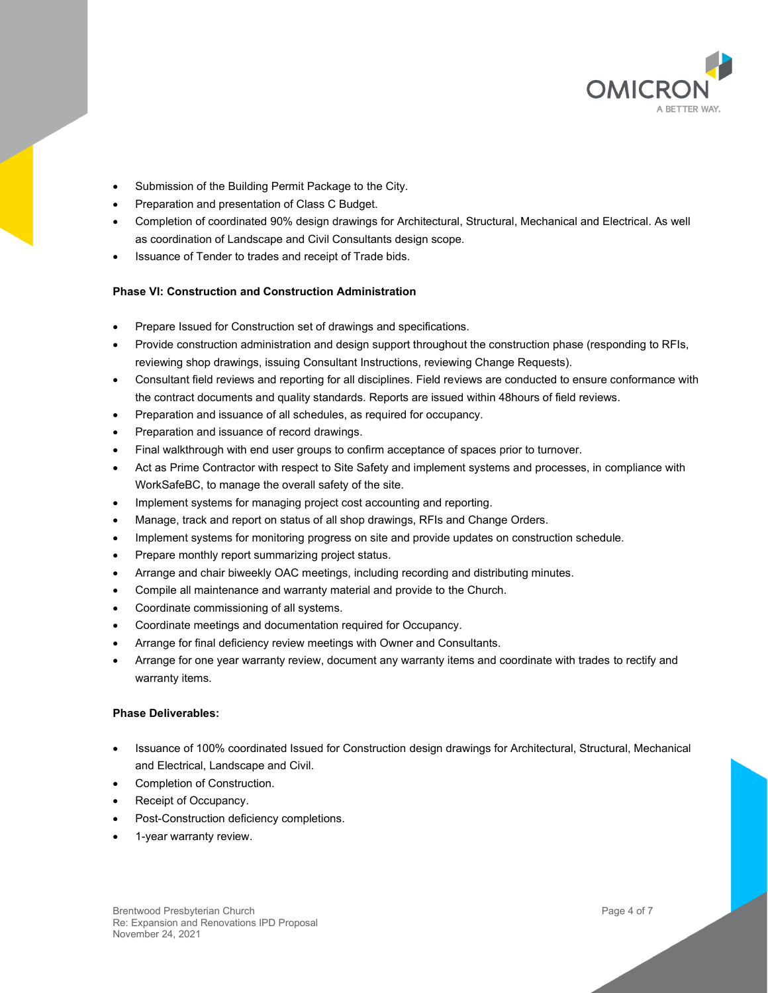

- Submission of the Building Permit Package to the City.
- Preparation and presentation of Class C Budget.
- Completion of coordinated 90% design drawings for Architectural, Structural, Mechanical and Electrical. As well as coordination of Landscape and Civil Consultants design scope.
- Issuance of Tender to trades and receipt of Trade bids.

# **Phase VI: Construction and Construction Administration**

- Prepare Issued for Construction set of drawings and specifications.
- Provide construction administration and design support throughout the construction phase (responding to RFIs, reviewing shop drawings, issuing Consultant Instructions, reviewing Change Requests).
- Consultant field reviews and reporting for all disciplines. Field reviews are conducted to ensure conformance with the contract documents and quality standards. Reports are issued within 48hours of field reviews.
- Preparation and issuance of all schedules, as required for occupancy.
- Preparation and issuance of record drawings.
- Final walkthrough with end user groups to confirm acceptance of spaces prior to turnover.
- Act as Prime Contractor with respect to Site Safety and implement systems and processes, in compliance with WorkSafeBC, to manage the overall safety of the site.
- Implement systems for managing project cost accounting and reporting.
- Manage, track and report on status of all shop drawings, RFIs and Change Orders.
- Implement systems for monitoring progress on site and provide updates on construction schedule.
- Prepare monthly report summarizing project status.
- Arrange and chair biweekly OAC meetings, including recording and distributing minutes.
- Compile all maintenance and warranty material and provide to the Church.
- Coordinate commissioning of all systems.
- Coordinate meetings and documentation required for Occupancy.
- Arrange for final deficiency review meetings with Owner and Consultants.
- Arrange for one year warranty review, document any warranty items and coordinate with trades to rectify and warranty items.

# **Phase Deliverables:**

- Issuance of 100% coordinated Issued for Construction design drawings for Architectural, Structural, Mechanical and Electrical, Landscape and Civil.
- Completion of Construction.
- Receipt of Occupancy.
- Post-Construction deficiency completions.
- 1-year warranty review.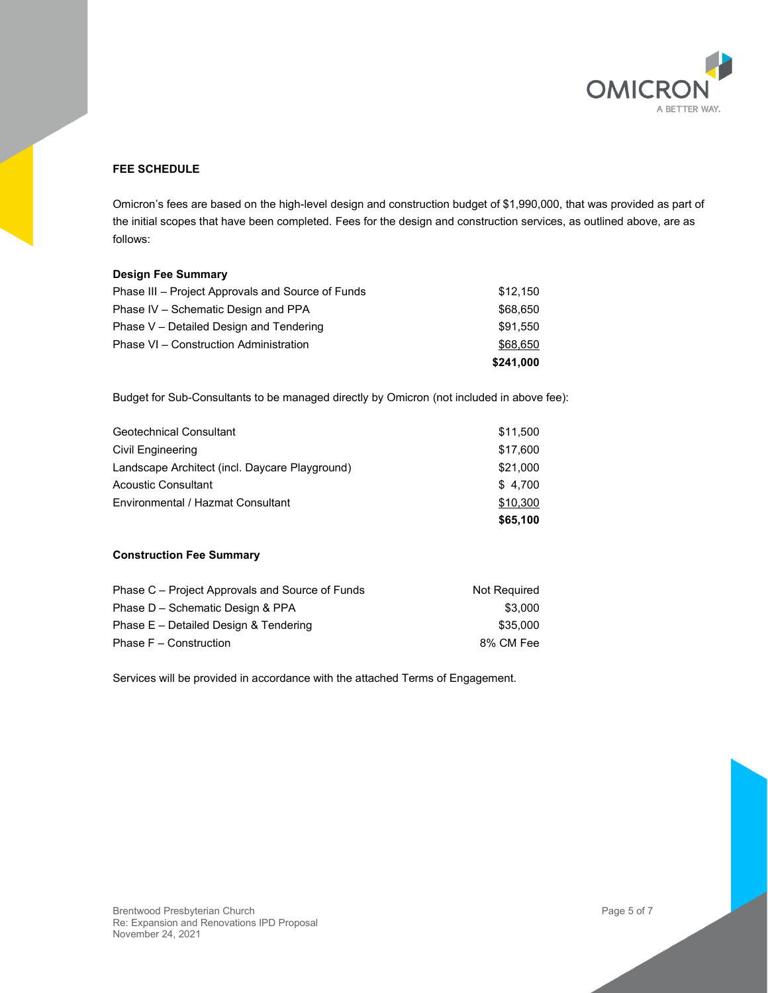

# **FEE SCHEDULE**

Omicron's fees are based on the high-level design and construction budget of \$1,990,000, that was provided as part of the initial scopes that have been completed. Fees for the design and construction services, as outlined above, are as follows:

#### **Design Fee Summary**

| \$68,650 |
|----------|
| \$91.550 |
| \$68,650 |
| \$12.150 |
|          |

Budget for Sub-Consultants to be managed directly by Omicron (not included in above fee):

| Geotechnical Consultant                        | \$11,500 |
|------------------------------------------------|----------|
| Civil Engineering                              | \$17,600 |
| Landscape Architect (incl. Daycare Playground) | \$21,000 |
| Acoustic Consultant                            | \$4,700  |
| Environmental / Hazmat Consultant              | \$10,300 |
|                                                | \$65,100 |

#### **Construction Fee Summary**

| Not Required |
|--------------|
| \$3.000      |
| \$35,000     |
| 8% CM Fee    |
|              |

Services will be provided in accordance with the attached Terms of Engagement.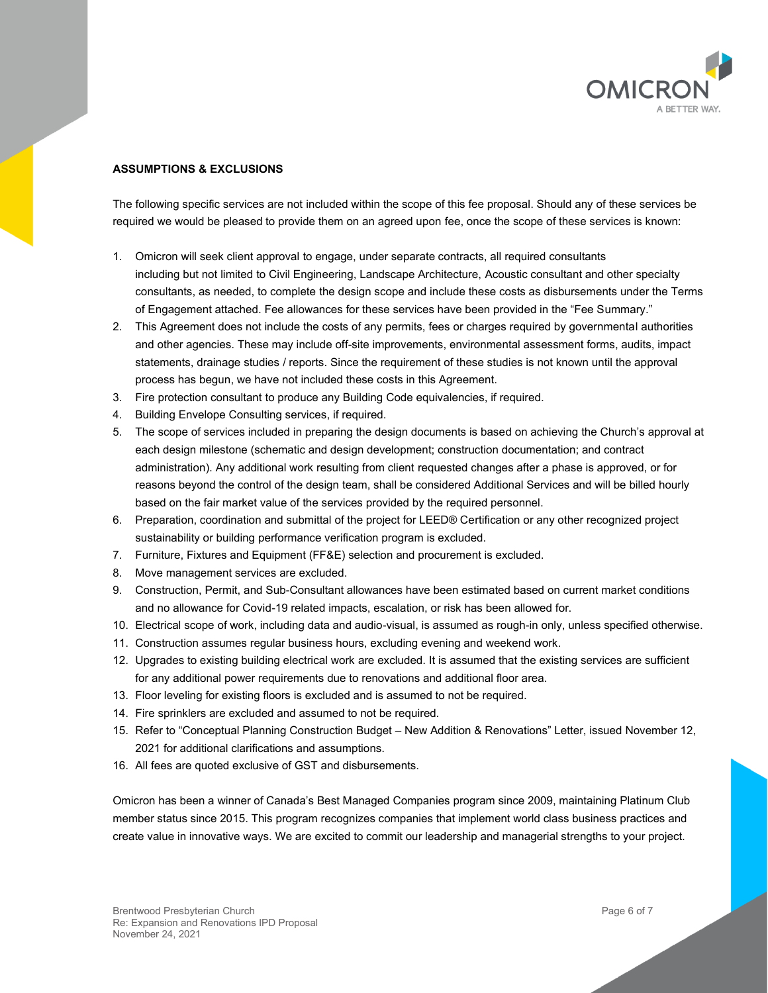

# **ASSUMPTIONS & EXCLUSIONS**

The following specific services are not included within the scope of this fee proposal. Should any of these services be required we would be pleased to provide them on an agreed upon fee, once the scope of these services is known:

- 1. Omicron will seek client approval to engage, under separate contracts, all required consultants including but not limited to Civil Engineering, Landscape Architecture, Acoustic consultant and other specialty consultants, as needed, to complete the design scope and include these costs as disbursements under the Terms of Engagement attached. Fee allowances for these services have been provided in the "Fee Summary."
- 2. This Agreement does not include the costs of any permits, fees or charges required by governmental authorities and other agencies. These may include off-site improvements, environmental assessment forms, audits, impact statements, drainage studies / reports. Since the requirement of these studies is not known until the approval process has begun, we have not included these costs in this Agreement.
- 3. Fire protection consultant to produce any Building Code equivalencies, if required.
- 4. Building Envelope Consulting services, if required.
- 5. The scope of services included in preparing the design documents is based on achieving the Church's approval at each design milestone (schematic and design development; construction documentation; and contract administration). Any additional work resulting from client requested changes after a phase is approved, or for reasons beyond the control of the design team, shall be considered Additional Services and will be billed hourly based on the fair market value of the services provided by the required personnel.
- 6. Preparation, coordination and submittal of the project for LEED® Certification or any other recognized project sustainability or building performance verification program is excluded.
- 7. Furniture, Fixtures and Equipment (FF&E) selection and procurement is excluded.
- 8. Move management services are excluded.
- 9. Construction, Permit, and Sub-Consultant allowances have been estimated based on current market conditions and no allowance for Covid-19 related impacts, escalation, or risk has been allowed for.
- 10. Electrical scope of work, including data and audio-visual, is assumed as rough-in only, unless specified otherwise.
- 11. Construction assumes regular business hours, excluding evening and weekend work.
- 12. Upgrades to existing building electrical work are excluded. It is assumed that the existing services are sufficient for any additional power requirements due to renovations and additional floor area.
- 13. Floor leveling for existing floors is excluded and is assumed to not be required.
- 14. Fire sprinklers are excluded and assumed to not be required.
- 15. Refer to "Conceptual Planning Construction Budget New Addition & Renovations" Letter, issued November 12, 2021 for additional clarifications and assumptions.
- 16. All fees are quoted exclusive of GST and disbursements.

Omicron has been a winner of Canada's Best Managed Companies program since 2009, maintaining Platinum Club member status since 2015. This program recognizes companies that implement world class business practices and create value in innovative ways. We are excited to commit our leadership and managerial strengths to your project.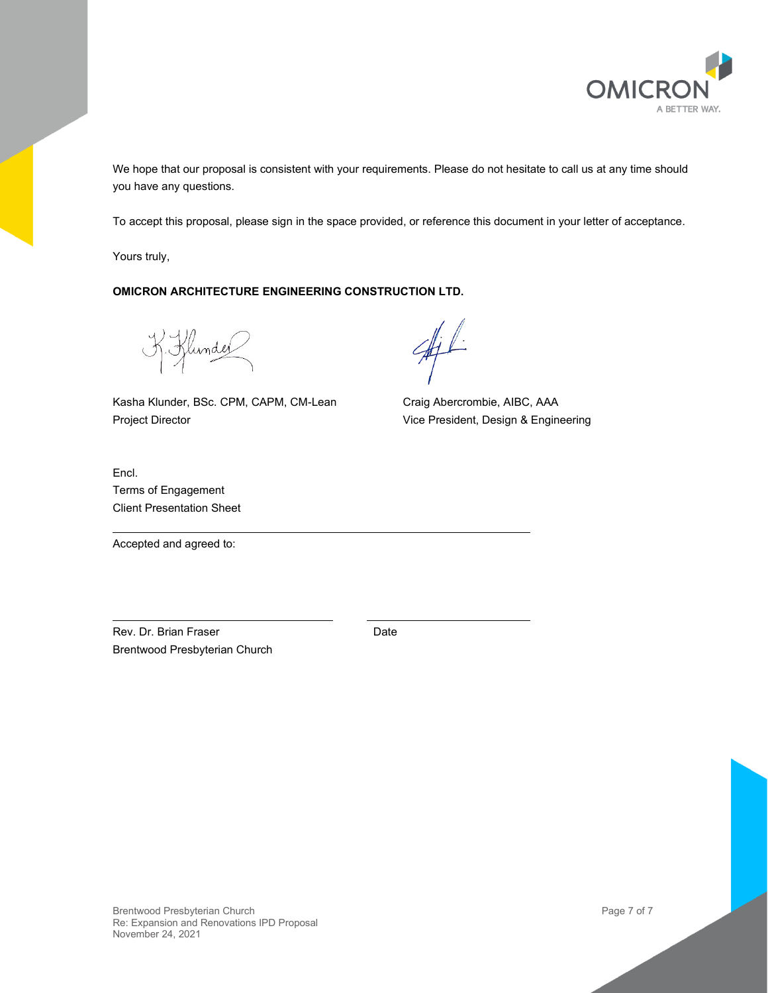

We hope that our proposal is consistent with your requirements. Please do not hesitate to call us at any time should you have any questions.

To accept this proposal, please sign in the space provided, or reference this document in your letter of acceptance.

Yours truly,

# **OMICRON ARCHITECTURE ENGINEERING CONSTRUCTION LTD.**

K. Klunder

Kasha Klunder, BSc. CPM, CAPM, CM-Lean Project Director

Craig Abercrombie, AIBC, AAA Vice President, Design & Engineering

Encl. Terms of Engagement Client Presentation Sheet

Accepted and agreed to:

Rev. Dr. Brian Fraser Brentwood Presbyterian Church Date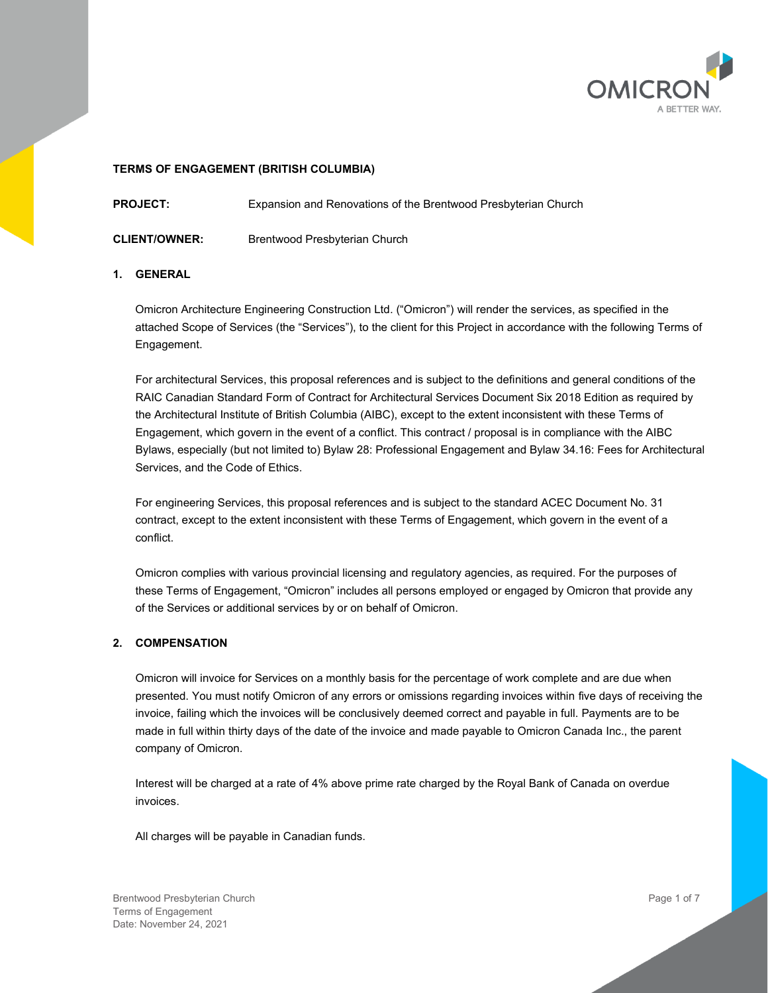

#### **TERMS OF ENGAGEMENT (BRITISH COLUMBIA)**

**PROJECT:** Expansion and Renovations of the Brentwood Presbyterian Church

**CLIENT/OWNER:** Brentwood Presbyterian Church

#### **1. GENERAL**

Omicron Architecture Engineering Construction Ltd. ("Omicron") will render the services, as specified in the attached Scope of Services (the "Services"), to the client for this Project in accordance with the following Terms of Engagement.

For architectural Services, this proposal references and is subject to the definitions and general conditions of the RAIC Canadian Standard Form of Contract for Architectural Services Document Six 2018 Edition as required by the Architectural Institute of British Columbia (AIBC), except to the extent inconsistent with these Terms of Engagement, which govern in the event of a conflict. This contract / proposal is in compliance with the AIBC Bylaws, especially (but not limited to) Bylaw 28: Professional Engagement and Bylaw 34.16: Fees for Architectural Services, and the Code of Ethics.

For engineering Services, this proposal references and is subject to the standard ACEC Document No. 31 contract, except to the extent inconsistent with these Terms of Engagement, which govern in the event of a conflict.

Omicron complies with various provincial licensing and regulatory agencies, as required. For the purposes of these Terms of Engagement, "Omicron" includes all persons employed or engaged by Omicron that provide any of the Services or additional services by or on behalf of Omicron.

#### **2. COMPENSATION**

Omicron will invoice for Services on a monthly basis for the percentage of work complete and are due when presented. You must notify Omicron of any errors or omissions regarding invoices within five days of receiving the invoice, failing which the invoices will be conclusively deemed correct and payable in full. Payments are to be made in full within thirty days of the date of the invoice and made payable to Omicron Canada Inc., the parent company of Omicron.

Interest will be charged at a rate of 4% above prime rate charged by the Royal Bank of Canada on overdue invoices.

All charges will be payable in Canadian funds.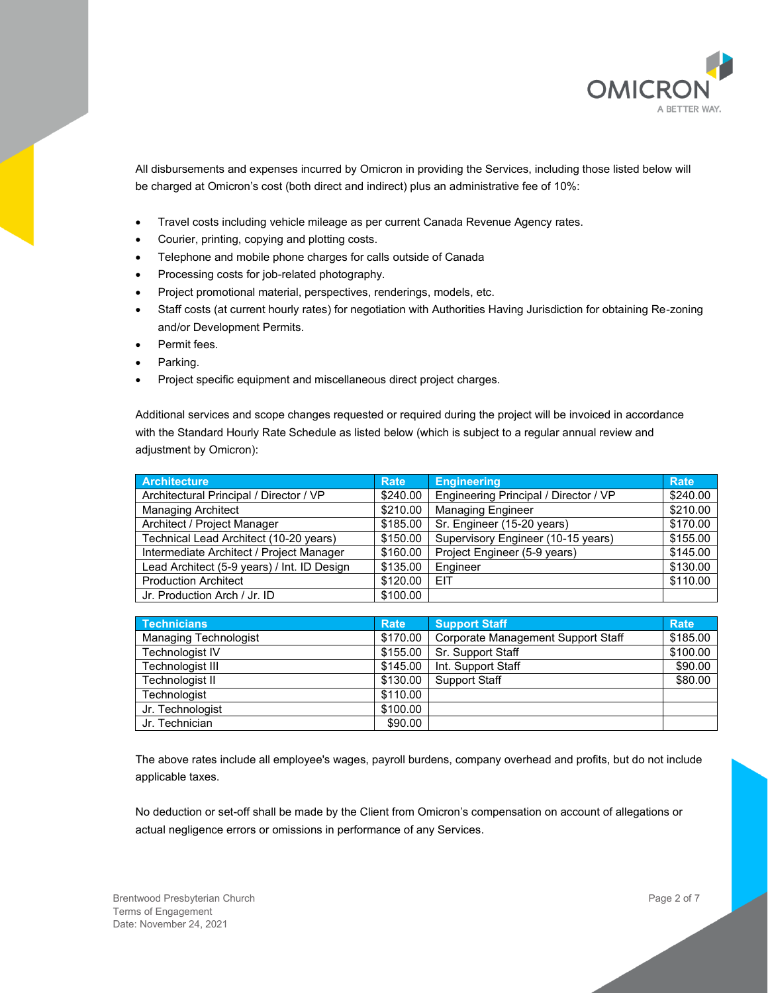

All disbursements and expenses incurred by Omicron in providing the Services, including those listed below will be charged at Omicron's cost (both direct and indirect) plus an administrative fee of 10%:

- Travel costs including vehicle mileage as per current Canada Revenue Agency rates.
- Courier, printing, copying and plotting costs.
- Telephone and mobile phone charges for calls outside of Canada
- Processing costs for job-related photography.
- Project promotional material, perspectives, renderings, models, etc.
- Staff costs (at current hourly rates) for negotiation with Authorities Having Jurisdiction for obtaining Re-zoning and/or Development Permits.
- Permit fees.
- Parking.
- Project specific equipment and miscellaneous direct project charges.

Additional services and scope changes requested or required during the project will be invoiced in accordance with the Standard Hourly Rate Schedule as listed below (which is subject to a regular annual review and adjustment by Omicron):

| <b>Architecture</b>                         | <b>Rate</b> | <b>Engineering</b>                    | <b>Rate</b> |
|---------------------------------------------|-------------|---------------------------------------|-------------|
| Architectural Principal / Director / VP     | \$240.00    | Engineering Principal / Director / VP | \$240.00    |
| <b>Managing Architect</b>                   | \$210.00    | <b>Managing Engineer</b>              | \$210.00    |
| Architect / Project Manager                 | \$185.00    | Sr. Engineer (15-20 years)            | \$170.00    |
| Technical Lead Architect (10-20 years)      | \$150.00    | Supervisory Engineer (10-15 years)    | \$155.00    |
| Intermediate Architect / Project Manager    | \$160.00    | Project Engineer (5-9 years)          | \$145.00    |
| Lead Architect (5-9 years) / Int. ID Design | \$135.00    | Engineer                              | \$130.00    |
| <b>Production Architect</b>                 | \$120.00    | <b>EIT</b>                            | \$110.00    |
| Jr. Production Arch / Jr. ID                | \$100.00    |                                       |             |

| Technicians                  | <b>Rate</b> | <b>Support Staff</b>               | <b>Rate</b> |
|------------------------------|-------------|------------------------------------|-------------|
| <b>Managing Technologist</b> | \$170.00    | Corporate Management Support Staff | \$185.00    |
| Technologist IV              | \$155.00    | Sr. Support Staff                  | \$100.00    |
| Technologist III             | \$145.00    | Int. Support Staff                 | \$90.00     |
| Technologist II              | \$130.00    | <b>Support Staff</b>               | \$80.00     |
| Technologist                 | \$110.00    |                                    |             |
| Jr. Technologist             | \$100.00    |                                    |             |
| Jr. Technician               | \$90.00     |                                    |             |

The above rates include all employee's wages, payroll burdens, company overhead and profits, but do not include applicable taxes.

No deduction or set-off shall be made by the Client from Omicron's compensation on account of allegations or actual negligence errors or omissions in performance of any Services.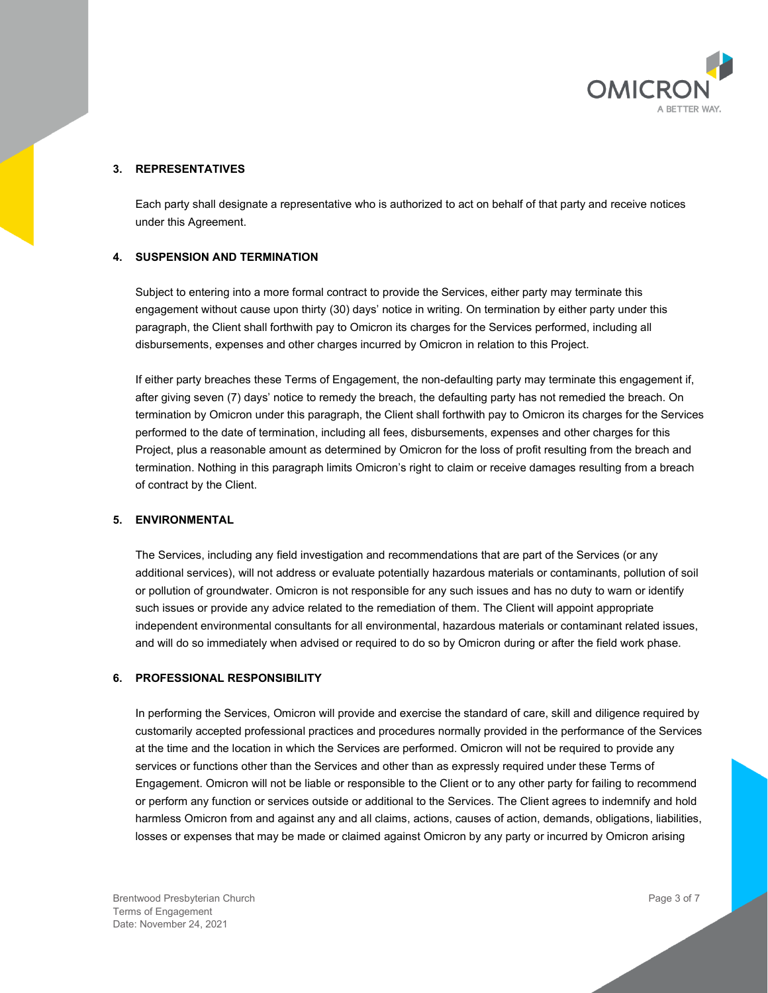

#### **3. REPRESENTATIVES**

Each party shall designate a representative who is authorized to act on behalf of that party and receive notices under this Agreement.

#### **4. SUSPENSION AND TERMINATION**

Subject to entering into a more formal contract to provide the Services, either party may terminate this engagement without cause upon thirty (30) days' notice in writing. On termination by either party under this paragraph, the Client shall forthwith pay to Omicron its charges for the Services performed, including all disbursements, expenses and other charges incurred by Omicron in relation to this Project.

If either party breaches these Terms of Engagement, the non-defaulting party may terminate this engagement if, after giving seven (7) days' notice to remedy the breach, the defaulting party has not remedied the breach. On termination by Omicron under this paragraph, the Client shall forthwith pay to Omicron its charges for the Services performed to the date of termination, including all fees, disbursements, expenses and other charges for this Project, plus a reasonable amount as determined by Omicron for the loss of profit resulting from the breach and termination. Nothing in this paragraph limits Omicron's right to claim or receive damages resulting from a breach of contract by the Client.

#### **5. ENVIRONMENTAL**

The Services, including any field investigation and recommendations that are part of the Services (or any additional services), will not address or evaluate potentially hazardous materials or contaminants, pollution of soil or pollution of groundwater. Omicron is not responsible for any such issues and has no duty to warn or identify such issues or provide any advice related to the remediation of them. The Client will appoint appropriate independent environmental consultants for all environmental, hazardous materials or contaminant related issues, and will do so immediately when advised or required to do so by Omicron during or after the field work phase.

#### **6. PROFESSIONAL RESPONSIBILITY**

In performing the Services, Omicron will provide and exercise the standard of care, skill and diligence required by customarily accepted professional practices and procedures normally provided in the performance of the Services at the time and the location in which the Services are performed. Omicron will not be required to provide any services or functions other than the Services and other than as expressly required under these Terms of Engagement. Omicron will not be liable or responsible to the Client or to any other party for failing to recommend or perform any function or services outside or additional to the Services. The Client agrees to indemnify and hold harmless Omicron from and against any and all claims, actions, causes of action, demands, obligations, liabilities, losses or expenses that may be made or claimed against Omicron by any party or incurred by Omicron arising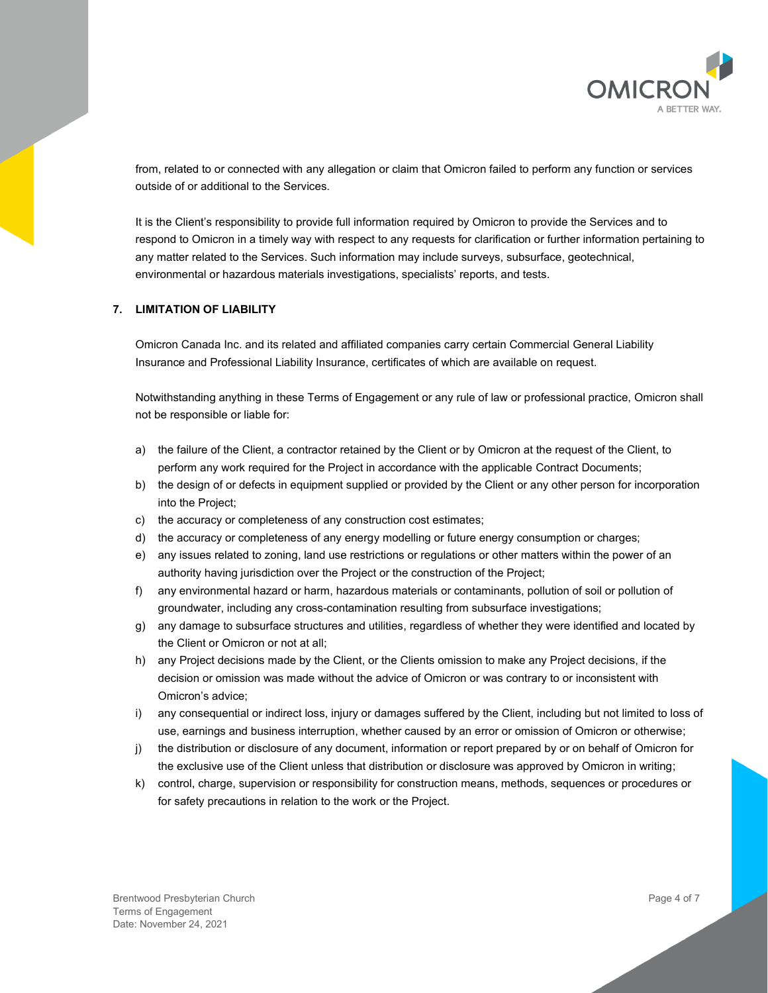

from, related to or connected with any allegation or claim that Omicron failed to perform any function or services outside of or additional to the Services.

It is the Client's responsibility to provide full information required by Omicron to provide the Services and to respond to Omicron in a timely way with respect to any requests for clarification or further information pertaining to any matter related to the Services. Such information may include surveys, subsurface, geotechnical, environmental or hazardous materials investigations, specialists' reports, and tests.

#### **7. LIMITATION OF LIABILITY**

Omicron Canada Inc. and its related and affiliated companies carry certain Commercial General Liability Insurance and Professional Liability Insurance, certificates of which are available on request.

Notwithstanding anything in these Terms of Engagement or any rule of law or professional practice, Omicron shall not be responsible or liable for:

- a) the failure of the Client, a contractor retained by the Client or by Omicron at the request of the Client, to perform any work required for the Project in accordance with the applicable Contract Documents;
- b) the design of or defects in equipment supplied or provided by the Client or any other person for incorporation into the Project;
- c) the accuracy or completeness of any construction cost estimates;
- d) the accuracy or completeness of any energy modelling or future energy consumption or charges;
- e) any issues related to zoning, land use restrictions or regulations or other matters within the power of an authority having jurisdiction over the Project or the construction of the Project;
- f) any environmental hazard or harm, hazardous materials or contaminants, pollution of soil or pollution of groundwater, including any cross-contamination resulting from subsurface investigations;
- g) any damage to subsurface structures and utilities, regardless of whether they were identified and located by the Client or Omicron or not at all;
- h) any Project decisions made by the Client, or the Clients omission to make any Project decisions, if the decision or omission was made without the advice of Omicron or was contrary to or inconsistent with Omicron's advice;
- i) any consequential or indirect loss, injury or damages suffered by the Client, including but not limited to loss of use, earnings and business interruption, whether caused by an error or omission of Omicron or otherwise;
- j) the distribution or disclosure of any document, information or report prepared by or on behalf of Omicron for the exclusive use of the Client unless that distribution or disclosure was approved by Omicron in writing;
- k) control, charge, supervision or responsibility for construction means, methods, sequences or procedures or for safety precautions in relation to the work or the Project.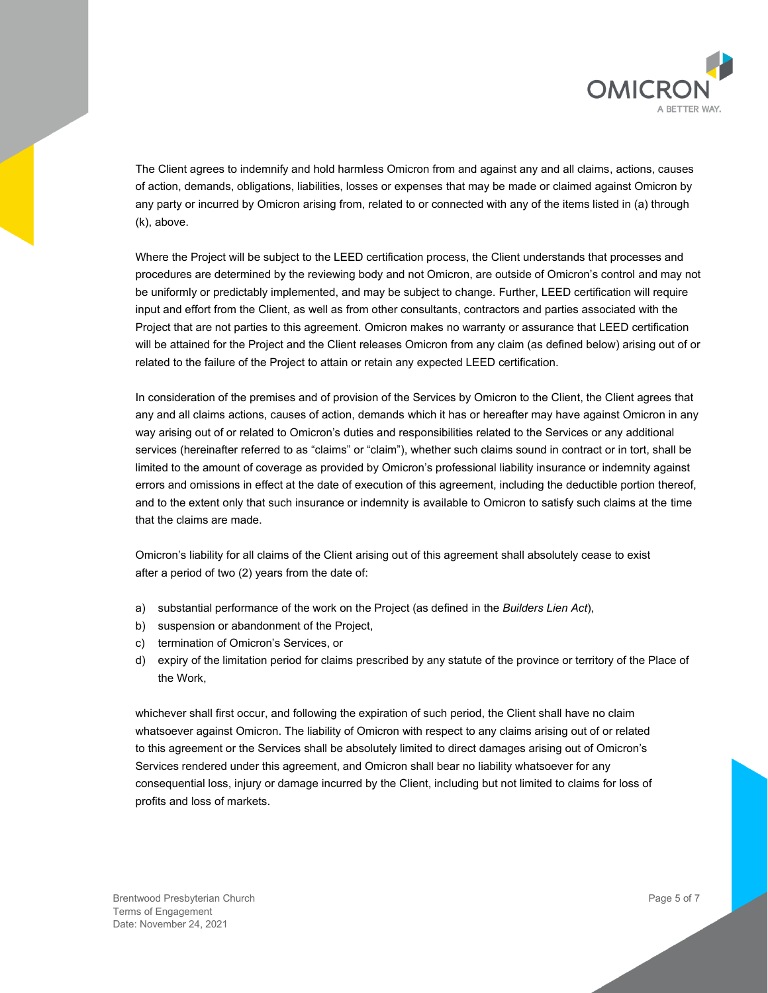

The Client agrees to indemnify and hold harmless Omicron from and against any and all claims, actions, causes of action, demands, obligations, liabilities, losses or expenses that may be made or claimed against Omicron by any party or incurred by Omicron arising from, related to or connected with any of the items listed in (a) through (k), above.

Where the Project will be subject to the LEED certification process, the Client understands that processes and procedures are determined by the reviewing body and not Omicron, are outside of Omicron's control and may not be uniformly or predictably implemented, and may be subject to change. Further, LEED certification will require input and effort from the Client, as well as from other consultants, contractors and parties associated with the Project that are not parties to this agreement. Omicron makes no warranty or assurance that LEED certification will be attained for the Project and the Client releases Omicron from any claim (as defined below) arising out of or related to the failure of the Project to attain or retain any expected LEED certification.

In consideration of the premises and of provision of the Services by Omicron to the Client, the Client agrees that any and all claims actions, causes of action, demands which it has or hereafter may have against Omicron in any way arising out of or related to Omicron's duties and responsibilities related to the Services or any additional services (hereinafter referred to as "claims" or "claim"), whether such claims sound in contract or in tort, shall be limited to the amount of coverage as provided by Omicron's professional liability insurance or indemnity against errors and omissions in effect at the date of execution of this agreement, including the deductible portion thereof, and to the extent only that such insurance or indemnity is available to Omicron to satisfy such claims at the time that the claims are made.

Omicron's liability for all claims of the Client arising out of this agreement shall absolutely cease to exist after a period of two (2) years from the date of:

- a) substantial performance of the work on the Project (as defined in the *Builders Lien Act*),
- b) suspension or abandonment of the Project,
- c) termination of Omicron's Services, or
- d) expiry of the limitation period for claims prescribed by any statute of the province or territory of the Place of the Work,

whichever shall first occur, and following the expiration of such period, the Client shall have no claim whatsoever against Omicron. The liability of Omicron with respect to any claims arising out of or related to this agreement or the Services shall be absolutely limited to direct damages arising out of Omicron's Services rendered under this agreement, and Omicron shall bear no liability whatsoever for any consequential loss, injury or damage incurred by the Client, including but not limited to claims for loss of profits and loss of markets.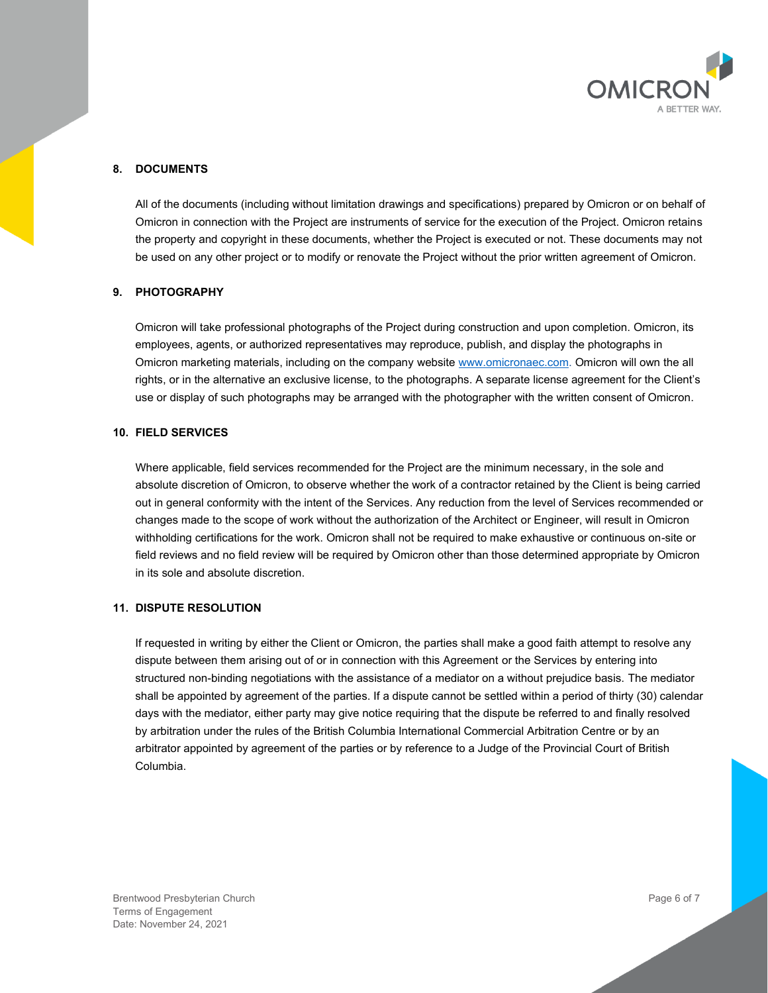

# **8. DOCUMENTS**

All of the documents (including without limitation drawings and specifications) prepared by Omicron or on behalf of Omicron in connection with the Project are instruments of service for the execution of the Project. Omicron retains the property and copyright in these documents, whether the Project is executed or not. These documents may not be used on any other project or to modify or renovate the Project without the prior written agreement of Omicron.

#### **9. PHOTOGRAPHY**

Omicron will take professional photographs of the Project during construction and upon completion. Omicron, its employees, agents, or authorized representatives may reproduce, publish, and display the photographs in Omicron marketing materials, including on the company websit[e www.omicronaec.com.](http://www.omicronaec.com/) Omicron will own the all rights, or in the alternative an exclusive license, to the photographs. A separate license agreement for the Client's use or display of such photographs may be arranged with the photographer with the written consent of Omicron.

# **10. FIELD SERVICES**

Where applicable, field services recommended for the Project are the minimum necessary, in the sole and absolute discretion of Omicron, to observe whether the work of a contractor retained by the Client is being carried out in general conformity with the intent of the Services. Any reduction from the level of Services recommended or changes made to the scope of work without the authorization of the Architect or Engineer, will result in Omicron withholding certifications for the work. Omicron shall not be required to make exhaustive or continuous on-site or field reviews and no field review will be required by Omicron other than those determined appropriate by Omicron in its sole and absolute discretion.

#### **11. DISPUTE RESOLUTION**

If requested in writing by either the Client or Omicron, the parties shall make a good faith attempt to resolve any dispute between them arising out of or in connection with this Agreement or the Services by entering into structured non-binding negotiations with the assistance of a mediator on a without prejudice basis. The mediator shall be appointed by agreement of the parties. If a dispute cannot be settled within a period of thirty (30) calendar days with the mediator, either party may give notice requiring that the dispute be referred to and finally resolved by arbitration under the rules of the British Columbia International Commercial Arbitration Centre or by an arbitrator appointed by agreement of the parties or by reference to a Judge of the Provincial Court of British Columbia.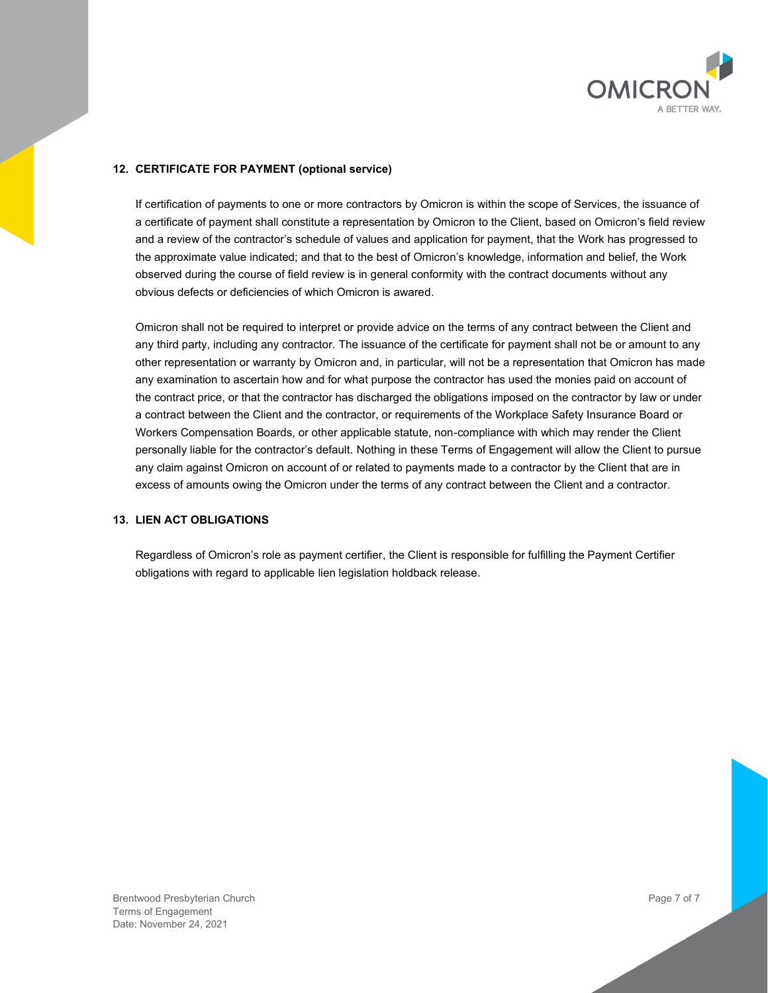

# **12. CERTIFICATE FOR PAYMENT (optional service)**

If certification of payments to one or more contractors by Omicron is within the scope of Services, the issuance of a certificate of payment shall constitute a representation by Omicron to the Client, based on Omicron's field review and a review of the contractor's schedule of values and application for payment, that the Work has progressed to the approximate value indicated; and that to the best of Omicron's knowledge, information and belief, the Work observed during the course of field review is in general conformity with the contract documents without any obvious defects or deficiencies of which Omicron is awared.

Omicron shall not be required to interpret or provide advice on the terms of any contract between the Client and any third party, including any contractor. The issuance of the certificate for payment shall not be or amount to any other representation or warranty by Omicron and, in particular, will not be a representation that Omicron has made any examination to ascertain how and for what purpose the contractor has used the monies paid on account of the contract price, or that the contractor has discharged the obligations imposed on the contractor by law or under a contract between the Client and the contractor, or requirements of the Workplace Safety Insurance Board or Workers Compensation Boards, or other applicable statute, non-compliance with which may render the Client personally liable for the contractor's default. Nothing in these Terms of Engagement will allow the Client to pursue any claim against Omicron on account of or related to payments made to a contractor by the Client that are in excess of amounts owing the Omicron under the terms of any contract between the Client and a contractor.

# **13. LIEN ACT OBLIGATIONS**

Regardless of Omicron's role as payment certifier, the Client is responsible for fulfilling the Payment Certifier obligations with regard to applicable lien legislation holdback release.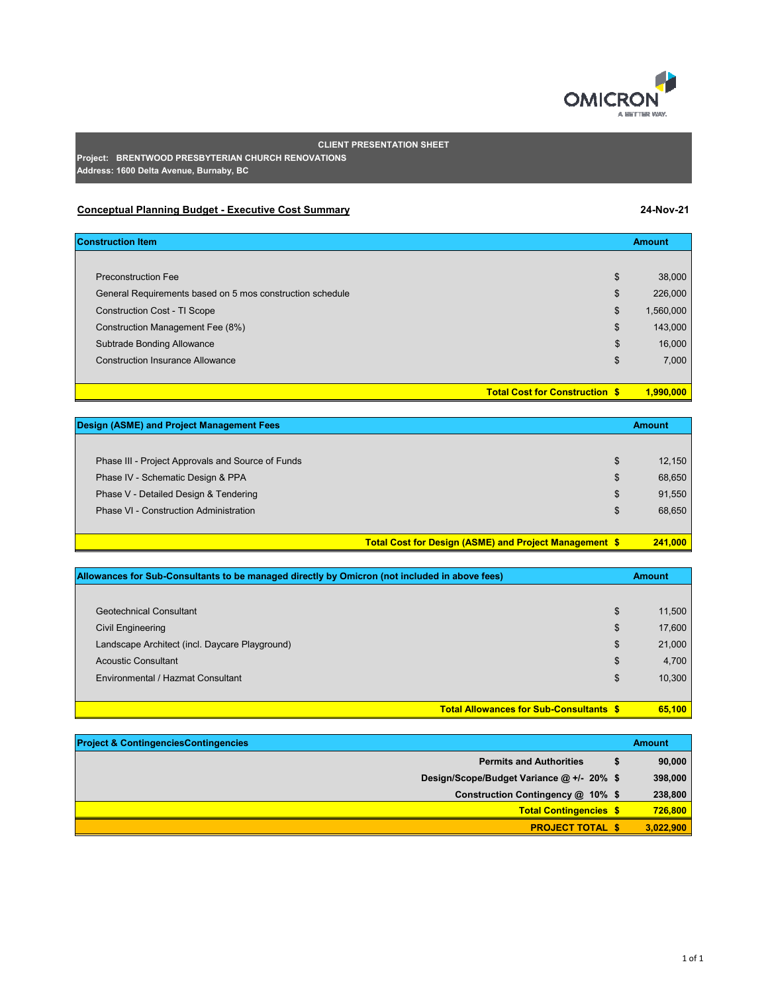

|  | ١r<br>o<br>۰, |  |
|--|---------------|--|

# **CLIENT PRESENTATION SHEET**

**Project: BRENTWOOD PRESBYTERIAN CHURCH RENOVATIONS Address: 1600 Delta Avenue, Burnaby, BC**

# **Conceptual Planning Budget - Executive Cost Summary 24-Nov-21**

| <b>Construction Item</b>                                        | <b>Amount</b> |
|-----------------------------------------------------------------|---------------|
|                                                                 |               |
| \$<br><b>Preconstruction Fee</b>                                | 38,000        |
| General Requirements based on 5 mos construction schedule<br>\$ | 226,000       |
| \$<br><b>Construction Cost - TI Scope</b>                       | 1,560,000     |
| \$<br>Construction Management Fee (8%)                          | 143,000       |
| \$<br>Subtrade Bonding Allowance                                | 16,000        |
| <b>Construction Insurance Allowance</b><br>\$                   | 7,000         |
|                                                                 |               |
| <b>Total Cost for Construction \$</b>                           | 1,990,000     |

| <b>Design (ASME) and Project Management Fees</b>  |                                                               | <b>Amount</b> |
|---------------------------------------------------|---------------------------------------------------------------|---------------|
|                                                   |                                                               |               |
| Phase III - Project Approvals and Source of Funds | \$                                                            | 12,150        |
| Phase IV - Schematic Design & PPA                 | \$                                                            | 68,650        |
| Phase V - Detailed Design & Tendering             | \$                                                            | 91,550        |
| Phase VI - Construction Administration            | \$                                                            | 68,650        |
|                                                   |                                                               |               |
|                                                   | <b>Total Cost for Design (ASME) and Project Management \$</b> | 241,000       |

| Allowances for Sub-Consultants to be managed directly by Omicron (not included in above fees) | <b>Amount</b> |
|-----------------------------------------------------------------------------------------------|---------------|
|                                                                                               |               |
| <b>Geotechnical Consultant</b>                                                                | \$<br>11,500  |
| Civil Engineering                                                                             | \$<br>17,600  |
| Landscape Architect (incl. Daycare Playground)                                                | \$<br>21,000  |
| <b>Acoustic Consultant</b>                                                                    | \$<br>4,700   |
| Environmental / Hazmat Consultant                                                             | \$<br>10,300  |
|                                                                                               |               |
| <b>Total Allowances for Sub-Consultants \$</b>                                                | 65,100        |

| <b>Project &amp; ContingenciesContingencies</b> | <b>Amount</b> |
|-------------------------------------------------|---------------|
| <b>Permits and Authorities</b>                  | 90,000        |
| Design/Scope/Budget Variance @ +/- 20% \$       | 398,000       |
| Construction Contingency @ 10% \$               | 238,800       |
| <b>Total Contingencies \$</b>                   | 726,800       |
| <b>PROJECT TOTAL \$</b>                         | 3,022,900     |

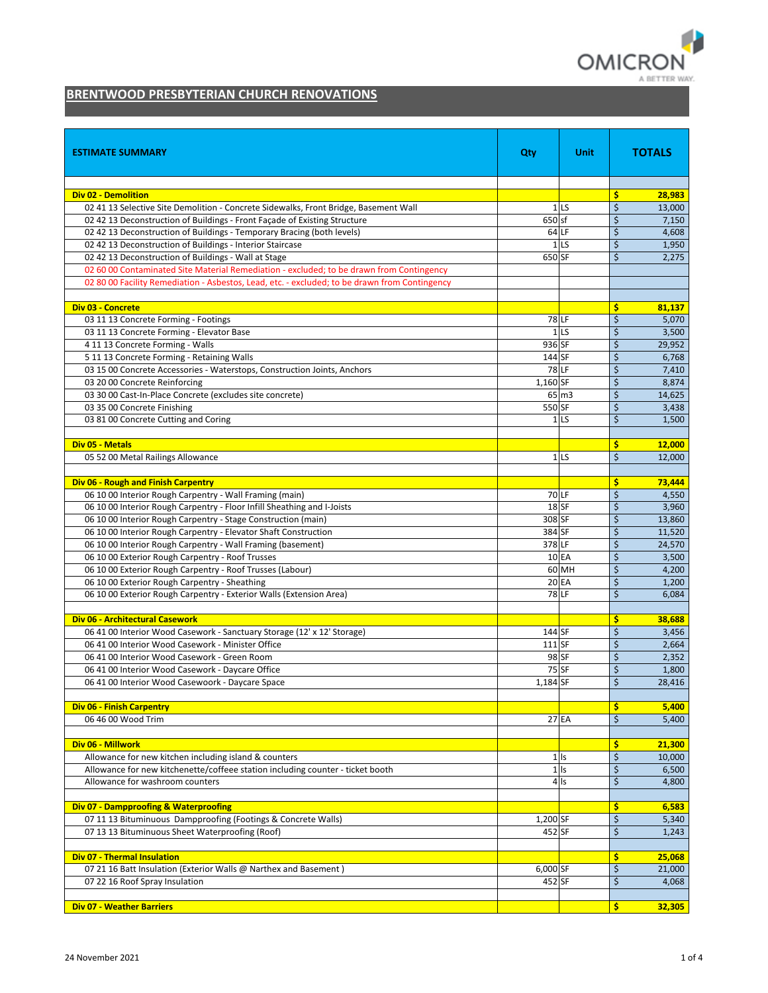

# **BRENTWOOD PRESBYTERIAN CHURCH RENOVATIONS**

| <b>ESTIMATE SUMMARY</b>                                                                                                                                           | Qty      | Unit            |          | <b>TOTALS</b>   |
|-------------------------------------------------------------------------------------------------------------------------------------------------------------------|----------|-----------------|----------|-----------------|
|                                                                                                                                                                   |          |                 |          |                 |
| <b>Div 02 - Demolition</b>                                                                                                                                        |          | 1 <sub>LS</sub> | \$<br>\$ | 28,983          |
| 02 41 13 Selective Site Demolition - Concrete Sidewalks, Front Bridge, Basement Wall<br>02 42 13 Deconstruction of Buildings - Front Façade of Existing Structure | 650 sf   |                 | \$       | 13,000<br>7,150 |
| 02 42 13 Deconstruction of Buildings - Temporary Bracing (both levels)                                                                                            |          | 64 LF           | \$       | 4,608           |
| 02 42 13 Deconstruction of Buildings - Interior Staircase                                                                                                         |          | 1 <sub>LS</sub> | \$       | 1,950           |
| 02 42 13 Deconstruction of Buildings - Wall at Stage                                                                                                              | 650 SF   |                 | \$       | 2,275           |
| 02 60 00 Contaminated Site Material Remediation - excluded; to be drawn from Contingency                                                                          |          |                 |          |                 |
| 02 80 00 Facility Remediation - Asbestos, Lead, etc. - excluded; to be drawn from Contingency                                                                     |          |                 |          |                 |
|                                                                                                                                                                   |          |                 |          |                 |
| <b>Div 03 - Concrete</b>                                                                                                                                          |          |                 | \$       | 81,137          |
| 03 11 13 Concrete Forming - Footings                                                                                                                              |          | <b>78 LF</b>    | \$       | 5,070           |
| 03 11 13 Concrete Forming - Elevator Base                                                                                                                         |          | 1 <sub>LS</sub> | \$       | 3,500           |
| 4 11 13 Concrete Forming - Walls                                                                                                                                  | 936 SF   |                 | \$       | 29,952          |
| 51113 Concrete Forming - Retaining Walls                                                                                                                          | 144 SF   |                 | \$       | 6,768           |
| 03 15 00 Concrete Accessories - Waterstops, Construction Joints, Anchors                                                                                          |          | <b>78 LF</b>    | \$       | 7,410           |
| 03 20 00 Concrete Reinforcing                                                                                                                                     | 1,160 SF |                 | \$       | 8,874           |
| 03 30 00 Cast-In-Place Concrete (excludes site concrete)                                                                                                          |          | 65 m3           | \$       | 14,625          |
| 03 35 00 Concrete Finishing                                                                                                                                       | 550 SF   |                 | \$       | 3,438           |
| 03 81 00 Concrete Cutting and Coring                                                                                                                              |          | 1 <sub>LS</sub> | \$       | 1,500           |
| Div 05 - Metals                                                                                                                                                   |          |                 | \$       | 12,000          |
| 05 52 00 Metal Railings Allowance                                                                                                                                 |          | 1 <sub>LS</sub> | \$       | 12,000          |
|                                                                                                                                                                   |          |                 |          |                 |
| Div 06 - Rough and Finish Carpentry                                                                                                                               |          |                 | \$       | 73,444          |
| 06 10 00 Interior Rough Carpentry - Wall Framing (main)                                                                                                           |          | 70 LF           | \$       | 4,550           |
| 06 10 00 Interior Rough Carpentry - Floor Infill Sheathing and I-Joists                                                                                           |          | $18S$ F         | \$       | 3,960           |
| 06 10 00 Interior Rough Carpentry - Stage Construction (main)                                                                                                     | 308 SF   |                 | \$       | 13,860          |
| 06 10 00 Interior Rough Carpentry - Elevator Shaft Construction                                                                                                   | 384 SF   |                 | \$       | 11,520          |
| 06 10 00 Interior Rough Carpentry - Wall Framing (basement)                                                                                                       | 378 LF   |                 | \$       | 24,570          |
| 06 10 00 Exterior Rough Carpentry - Roof Trusses                                                                                                                  |          | 10 EA           | \$       | 3,500           |
| 06 10 00 Exterior Rough Carpentry - Roof Trusses (Labour)                                                                                                         |          | 60 MH           | \$       | 4,200           |
| 06 10 00 Exterior Rough Carpentry - Sheathing                                                                                                                     |          | 20 EA           | \$       | 1,200           |
| 06 10 00 Exterior Rough Carpentry - Exterior Walls (Extension Area)                                                                                               |          | <b>78 LF</b>    | \$       | 6,084           |
|                                                                                                                                                                   |          |                 |          |                 |
| Div 06 - Architectural Casework<br>06 41 00 Interior Wood Casework - Sanctuary Storage (12' x 12' Storage)                                                        | 144 SF   |                 | \$<br>\$ | 38,688<br>3,456 |
| 06 41 00 Interior Wood Casework - Minister Office                                                                                                                 | 111 SF   |                 | \$       | 2,664           |
| 06 41 00 Interior Wood Casework - Green Room                                                                                                                      |          | 98 SF           | \$       | 2,352           |
| 06 41 00 Interior Wood Casework - Daycare Office                                                                                                                  |          | 75 SF           | \$       | 1,800           |
| 06 41 00 Interior Wood Casewoork - Daycare Space                                                                                                                  | 1,184 SF |                 | \$       | 28,416          |
|                                                                                                                                                                   |          |                 |          |                 |
| <b>Div 06 - Finish Carpentry</b>                                                                                                                                  |          |                 | \$       | 5,400           |
| 06 46 00 Wood Trim                                                                                                                                                |          | 27 EA           | \$       | 5,400           |
|                                                                                                                                                                   |          |                 |          |                 |
| Div 06 - Millwork                                                                                                                                                 |          |                 | \$       | 21,300          |
| Allowance for new kitchen including island & counters                                                                                                             |          | $1$ Is          | \$       | 10,000          |
| Allowance for new kitchenette/coffeee station including counter - ticket booth                                                                                    |          | $1$ Is          | \$       | 6,500           |
| Allowance for washroom counters                                                                                                                                   |          | 4 Is            | \$       | 4,800           |
| <b>Div 07 - Dampproofing &amp; Waterproofing</b>                                                                                                                  |          |                 | \$       | 6,583           |
| 07 11 13 Bituminuous Dampproofing (Footings & Concrete Walls)                                                                                                     | 1,200 SF |                 | \$       | 5,340           |
| 07 13 13 Bituminuous Sheet Waterproofing (Roof)                                                                                                                   | 452 SF   |                 | \$       | 1,243           |
|                                                                                                                                                                   |          |                 |          |                 |
| Div 07 - Thermal Insulation                                                                                                                                       |          |                 | \$       | 25,068          |
| 07 21 16 Batt Insulation (Exterior Walls @ Narthex and Basement)                                                                                                  | 6,000 SF |                 | \$       | 21,000          |
| 07 22 16 Roof Spray Insulation                                                                                                                                    | 452 SF   |                 | \$       | 4,068           |
|                                                                                                                                                                   |          |                 |          |                 |
| <b>Div 07 - Weather Barriers</b>                                                                                                                                  |          |                 | \$.      | 32,305          |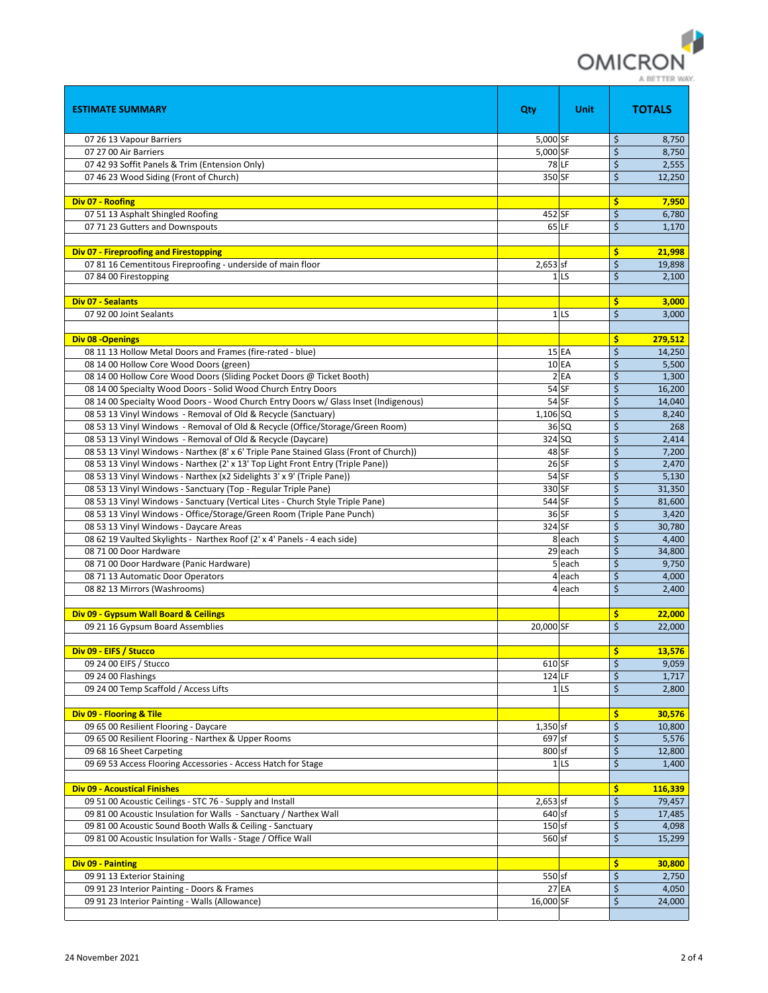

| <b>ESTIMATE SUMMARY</b>                                                                                          | Qty        | Unit            |                         | <b>TOTALS</b>   |
|------------------------------------------------------------------------------------------------------------------|------------|-----------------|-------------------------|-----------------|
| 07 26 13 Vapour Barriers                                                                                         | 5,000 SF   |                 | \$                      | 8,750           |
| 07 27 00 Air Barriers                                                                                            | 5,000 SF   |                 | \$                      | 8,750           |
| 07 42 93 Soffit Panels & Trim (Entension Only)                                                                   |            | <b>78 LF</b>    | \$                      | 2,555           |
| 07 46 23 Wood Siding (Front of Church)                                                                           | 350 SF     |                 | \$                      | 12,250          |
|                                                                                                                  |            |                 |                         |                 |
| Div 07 - Roofing                                                                                                 |            |                 | \$                      | 7,950           |
| 07 51 13 Asphalt Shingled Roofing                                                                                | 452 SF     |                 | \$                      | 6,780           |
| 07 71 23 Gutters and Downspouts                                                                                  |            | 65 LF           | \$                      | 1,170           |
|                                                                                                                  |            |                 |                         |                 |
| Div 07 - Fireproofing and Firestopping                                                                           |            |                 | \$                      | 21,998          |
| 07 81 16 Cementitous Fireproofing - underside of main floor                                                      | 2,653 sf   |                 | \$                      | 19.898          |
| 07 84 00 Firestopping                                                                                            |            | 1 <sub>LS</sub> | \$                      | 2,100           |
| <b>Div 07 - Sealants</b>                                                                                         |            |                 | \$                      | 3,000           |
| 07 92 00 Joint Sealants                                                                                          |            | 1 <sub>LS</sub> | \$                      | 3,000           |
|                                                                                                                  |            |                 |                         |                 |
| Div 08 - Openings                                                                                                |            |                 | \$                      | 279,512         |
| 08 11 13 Hollow Metal Doors and Frames (fire-rated - blue)                                                       |            | 15 EA           | \$                      | 14,250          |
| 08 14 00 Hollow Core Wood Doors (green)                                                                          |            | 10 EA           | \$                      | 5,500           |
| 08 14 00 Hollow Core Wood Doors (Sliding Pocket Doors @ Ticket Booth)                                            |            | 2EA             | \$                      | 1,300           |
| 08 14 00 Specialty Wood Doors - Solid Wood Church Entry Doors                                                    |            | 54 SF           | \$                      | 16,200          |
| 08 14 00 Specialty Wood Doors - Wood Church Entry Doors w/ Glass Inset (Indigenous)                              |            | 54 SF           | \$                      | 14,040          |
| 08 53 13 Vinyl Windows - Removal of Old & Recycle (Sanctuary)                                                    | 1,106 SQ   |                 | \$                      | 8,240           |
| 08 53 13 Vinyl Windows - Removal of Old & Recycle (Office/Storage/Green Room)                                    |            | 36 SQ           | \$                      | 268             |
| 08 53 13 Vinyl Windows - Removal of Old & Recycle (Daycare)                                                      | 324 SQ     |                 | \$                      | 2,414           |
| 08 53 13 Vinyl Windows - Narthex (8' x 6' Triple Pane Stained Glass (Front of Church))                           |            | $48$ SF         | \$                      | 7,200           |
| 08 53 13 Vinyl Windows - Narthex (2' x 13' Top Light Front Entry (Triple Pane))                                  |            | 26 SF           | \$                      | 2,470           |
| 08 53 13 Vinyl Windows - Narthex (x2 Sidelights 3' x 9' (Triple Pane))                                           |            | 54 SF           | \$                      | 5,130           |
| 08 53 13 Vinyl Windows - Sanctuary (Top - Regular Triple Pane)                                                   | 330 SF     |                 | \$                      | 31,350          |
| 08 53 13 Vinyl Windows - Sanctuary (Vertical Lites - Church Style Triple Pane)                                   | 544 SF     | 36 SF           | \$<br>\$                | 81,600          |
| 08 53 13 Vinyl Windows - Office/Storage/Green Room (Triple Pane Punch)<br>08 53 13 Vinyl Windows - Daycare Areas | 324 SF     |                 | \$                      | 3,420<br>30,780 |
| 08 62 19 Vaulted Skylights - Narthex Roof (2' x 4' Panels - 4 each side)                                         |            | 8 each          | \$                      | 4,400           |
| 08 71 00 Door Hardware                                                                                           |            | 29 each         | \$                      | 34,800          |
| 08 71 00 Door Hardware (Panic Hardware)                                                                          |            | 5 each          | $\zeta$                 | 9,750           |
| 08 71 13 Automatic Door Operators                                                                                |            | 4 each          | \$                      | 4,000           |
| 08 82 13 Mirrors (Washrooms)                                                                                     |            | 4 each          | \$                      | 2,400           |
|                                                                                                                  |            |                 |                         |                 |
| Div 09 - Gypsum Wall Board & Ceilings                                                                            |            |                 | \$                      | 22,000          |
| 09 21 16 Gypsum Board Assemblies                                                                                 | 20,000 SF  |                 | \$                      | 22,000          |
|                                                                                                                  |            |                 |                         |                 |
| Div 09 - EIFS / Stucco                                                                                           |            |                 | $\overline{\mathsf{s}}$ | 13.576          |
| 09 24 00 EIFS / Stucco                                                                                           | 610 SF     |                 | \$                      | 9,059           |
| 09 24 00 Flashings                                                                                               | 124 LF     |                 | \$                      | 1,717           |
| 09 24 00 Temp Scaffold / Access Lifts                                                                            |            | 1 <sub>LS</sub> | \$                      | 2,800           |
|                                                                                                                  |            |                 |                         |                 |
| Div 09 - Flooring & Tile<br>09 65 00 Resilient Flooring - Daycare                                                | 1,350 sf   |                 | \$                      | 30,576          |
| 09 65 00 Resilient Flooring - Narthex & Upper Rooms                                                              | 697 sf     |                 | \$<br>\$                | 10,800<br>5,576 |
| 09 68 16 Sheet Carpeting                                                                                         | 800 sf     |                 | \$                      | 12,800          |
| 09 69 53 Access Flooring Accessories - Access Hatch for Stage                                                    |            | 1 <sub>LS</sub> | \$                      | 1,400           |
|                                                                                                                  |            |                 |                         |                 |
| <b>Div 09 - Acoustical Finishes</b>                                                                              |            |                 | \$                      | 116,339         |
| 09 51 00 Acoustic Ceilings - STC 76 - Supply and Install                                                         | $2,653$ sf |                 | \$                      | 79,457          |
| 09 81 00 Acoustic Insulation for Walls - Sanctuary / Narthex Wall                                                | 640 sf     |                 | \$                      | 17,485          |
| 09 81 00 Acoustic Sound Booth Walls & Ceiling - Sanctuary                                                        | $150$ sf   |                 | \$                      | 4,098           |
| 09 81 00 Acoustic Insulation for Walls - Stage / Office Wall                                                     | 560 sf     |                 | \$                      | 15,299          |
|                                                                                                                  |            |                 |                         |                 |
| <b>Div 09 - Painting</b>                                                                                         |            |                 | \$                      | 30,800          |
| 09 91 13 Exterior Staining                                                                                       | 550 sf     |                 | \$                      | 2,750           |
| 09 91 23 Interior Painting - Doors & Frames                                                                      |            | <b>27 EA</b>    | \$                      | 4,050           |
| 09 91 23 Interior Painting - Walls (Allowance)                                                                   | 16,000 SF  |                 | \$                      | 24,000          |
|                                                                                                                  |            |                 |                         |                 |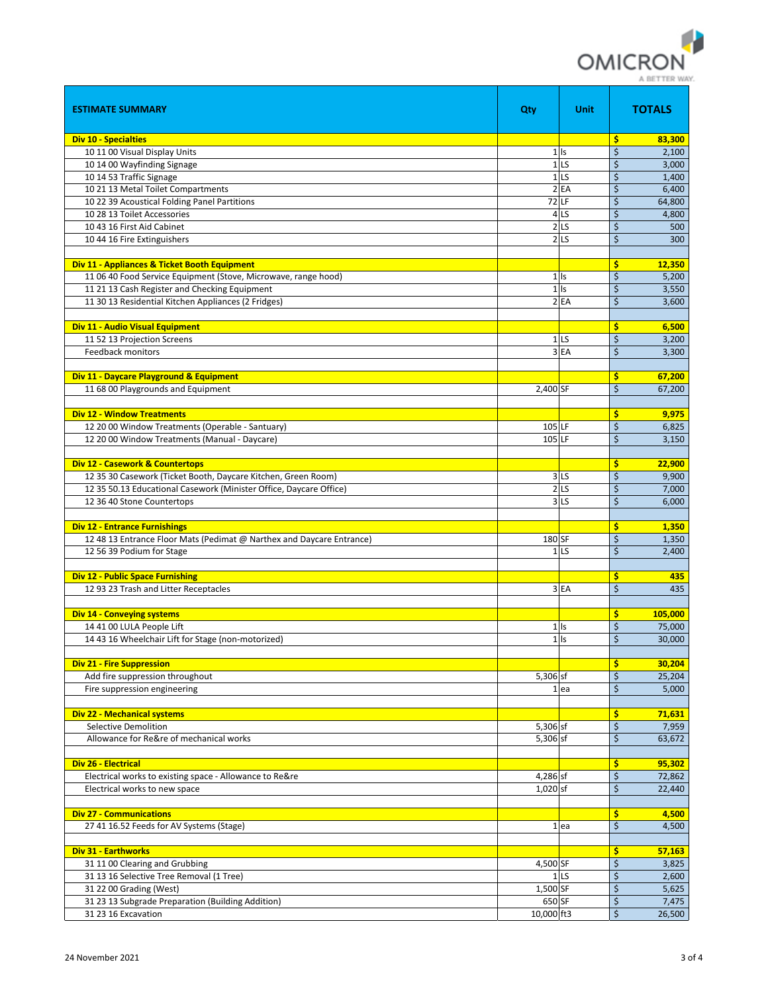

| <b>ESTIMATE SUMMARY</b>                                               | Qty                 | Unit              | <b>TOTALS</b> |
|-----------------------------------------------------------------------|---------------------|-------------------|---------------|
| <b>Div 10 - Specialties</b>                                           |                     |                   | \$<br>83,300  |
| 10 11 00 Visual Display Units                                         |                     | $1$ Is            | \$<br>2,100   |
| 10 14 00 Wayfinding Signage                                           |                     | 1 <sub>LS</sub>   | \$<br>3,000   |
| 10 14 53 Traffic Signage                                              |                     | 1 <sub>LS</sub>   | \$<br>1,400   |
| 10 21 13 Metal Toilet Compartments                                    |                     | 2EA               | \$<br>6,400   |
| 10 22 39 Acoustical Folding Panel Partitions                          |                     | <b>72 LF</b>      | \$<br>64,800  |
| 10 28 13 Toilet Accessories                                           |                     | 4 <sub>LS</sub>   | \$<br>4,800   |
| 10 43 16 First Aid Cabinet                                            |                     | 2 <sub>LS</sub>   | \$<br>500     |
| 10 44 16 Fire Extinguishers                                           |                     | $2$ <sub>LS</sub> | \$<br>300     |
|                                                                       |                     |                   |               |
|                                                                       |                     |                   |               |
| Div 11 - Appliances & Ticket Booth Equipment                          |                     |                   | \$<br>12,350  |
| 11 06 40 Food Service Equipment (Stove, Microwave, range hood)        |                     | $1$ Is            | \$<br>5,200   |
| 11 21 13 Cash Register and Checking Equipment                         |                     | $1$ Is            | \$<br>3,550   |
| 11 30 13 Residential Kitchen Appliances (2 Fridges)                   |                     | 2EA               | \$<br>3,600   |
|                                                                       |                     |                   |               |
| <b>Div 11 - Audio Visual Equipment</b>                                |                     |                   | \$<br>6,500   |
| 11 52 13 Projection Screens                                           |                     | 1 <sub>LS</sub>   | \$<br>3,200   |
| <b>Feedback monitors</b>                                              |                     | 3EA               | \$<br>3,300   |
|                                                                       |                     |                   |               |
| Div 11 - Daycare Playground & Equipment                               |                     |                   | \$<br>67,200  |
| 11 68 00 Playgrounds and Equipment                                    | 2,400 SF            |                   | \$<br>67,200  |
|                                                                       |                     |                   |               |
| <b>Div 12 - Window Treatments</b>                                     |                     |                   | \$<br>9,975   |
| 12 20 00 Window Treatments (Operable - Santuary)                      | 105 LF              |                   | \$<br>6,825   |
| 12 20 00 Window Treatments (Manual - Daycare)                         | $105$ <sub>LF</sub> |                   | \$<br>3,150   |
|                                                                       |                     |                   |               |
| <b>Div 12 - Casework &amp; Countertops</b>                            |                     |                   | \$<br>22,900  |
| 12 35 30 Casework (Ticket Booth, Daycare Kitchen, Green Room)         |                     | 3 <sub>LS</sub>   | \$<br>9,900   |
| 12 35 50.13 Educational Casework (Minister Office, Daycare Office)    |                     | 2 <sub>LS</sub>   | \$            |
|                                                                       |                     |                   | 7,000         |
| 12 36 40 Stone Countertops                                            |                     | 3 <sub>LS</sub>   | \$<br>6,000   |
|                                                                       |                     |                   |               |
| <b>Div 12 - Entrance Furnishings</b>                                  |                     |                   | \$<br>1,350   |
| 12 48 13 Entrance Floor Mats (Pedimat @ Narthex and Daycare Entrance) | 180 SF              |                   | \$<br>1,350   |
| 12 56 39 Podium for Stage                                             |                     | 1 <sub>LS</sub>   | \$<br>2,400   |
|                                                                       |                     |                   |               |
| <b>Div 12 - Public Space Furnishing</b>                               |                     |                   | \$<br>435     |
| 12 93 23 Trash and Litter Receptacles                                 |                     | 3EA               | \$<br>435     |
|                                                                       |                     |                   |               |
| <b>Div 14 - Conveying systems</b>                                     |                     |                   | \$<br>105,000 |
| 14 41 00 LULA People Lift                                             |                     | $1$ Is            | \$<br>75,000  |
| 14 43 16 Wheelchair Lift for Stage (non-motorized)                    |                     | $1$ Is            | \$<br>30.000  |
|                                                                       |                     |                   |               |
| <b>Div 21 - Fire Suppression</b>                                      |                     |                   | \$<br>30,204  |
| Add fire suppression throughout                                       | 5,306 sf            |                   | \$<br>25,204  |
| Fire suppression engineering                                          |                     | 1ea               | \$<br>5,000   |
|                                                                       |                     |                   |               |
| <b>Div 22 - Mechanical systems</b>                                    |                     |                   | \$<br>71,631  |
| Selective Demolition                                                  | 5,306 sf            |                   | \$<br>7,959   |
| Allowance for Re&re of mechanical works                               | 5,306 sf            |                   | \$<br>63,672  |
|                                                                       |                     |                   |               |
| <b>Div 26 - Electrical</b>                                            |                     |                   | \$<br>95,302  |
| Electrical works to existing space - Allowance to Re&re               | 4,286 sf            |                   | \$<br>72,862  |
| Electrical works to new space                                         | 1,020 sf            |                   | \$<br>22,440  |
|                                                                       |                     |                   |               |
|                                                                       |                     |                   |               |
| <b>Div 27 - Communications</b>                                        |                     |                   | \$<br>4,500   |
| 27 41 16.52 Feeds for AV Systems (Stage)                              |                     | $1$ ea            | \$<br>4,500   |
|                                                                       |                     |                   |               |
| Div 31 - Earthworks                                                   |                     |                   | \$<br>57,163  |
| 31 11 00 Clearing and Grubbing                                        | 4,500 SF            |                   | \$<br>3,825   |
| 31 13 16 Selective Tree Removal (1 Tree)                              |                     | 1 <sub>LS</sub>   | \$<br>2,600   |
| 31 22 00 Grading (West)                                               | 1,500 SF            |                   | \$<br>5,625   |
| 31 23 13 Subgrade Preparation (Building Addition)                     | 650 SF              |                   | \$<br>7,475   |
| 31 23 16 Excavation                                                   | 10,000 ft3          |                   | \$<br>26,500  |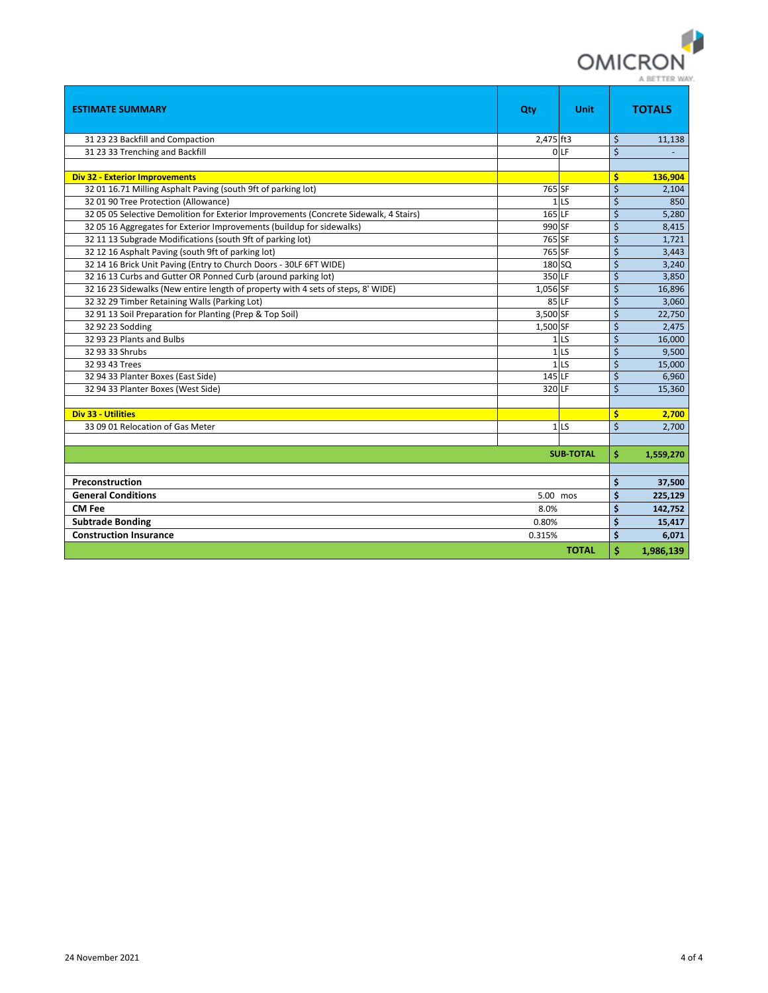

| <b>ESTIMATE SUMMARY</b>                                                               | Qty       | <b>Unit</b>      |         | <b>TOTALS</b> |  |  |  |  |
|---------------------------------------------------------------------------------------|-----------|------------------|---------|---------------|--|--|--|--|
| 31 23 23 Backfill and Compaction                                                      | 2.475 ft3 |                  | \$      | 11,138        |  |  |  |  |
| 31 23 33 Trenching and Backfill                                                       |           | 0 LF             | $\zeta$ |               |  |  |  |  |
|                                                                                       |           |                  |         |               |  |  |  |  |
| <b>Div 32 - Exterior Improvements</b>                                                 |           |                  | \$      | 136,904       |  |  |  |  |
| 32 01 16.71 Milling Asphalt Paving (south 9ft of parking lot)                         | 765 SF    |                  | $\zeta$ | 2,104         |  |  |  |  |
| 32 01 90 Tree Protection (Allowance)                                                  |           | 1 <sub>LS</sub>  | \$      | 850           |  |  |  |  |
| 32 05 05 Selective Demolition for Exterior Improvements (Concrete Sidewalk, 4 Stairs) | 165 LF    |                  | \$      | 5,280         |  |  |  |  |
| 32 05 16 Aggregates for Exterior Improvements (buildup for sidewalks)                 | 990 SF    |                  | \$      | 8,415         |  |  |  |  |
| 32 11 13 Subgrade Modifications (south 9ft of parking lot)                            | 765 SF    |                  | \$      | 1,721         |  |  |  |  |
| 32 12 16 Asphalt Paving (south 9ft of parking lot)                                    | 765 SF    |                  | \$      | 3,443         |  |  |  |  |
| 32 14 16 Brick Unit Paving (Entry to Church Doors - 30LF 6FT WIDE)                    | 180 SQ    |                  | \$      | 3,240         |  |  |  |  |
| 32 16 13 Curbs and Gutter OR Ponned Curb (around parking lot)                         | 350 LF    |                  | \$      | 3,850         |  |  |  |  |
| 32 16 23 Sidewalks (New entire length of property with 4 sets of steps, 8' WIDE)      | 1,056 SF  |                  | \$      | 16,896        |  |  |  |  |
| 32 32 29 Timber Retaining Walls (Parking Lot)                                         |           | 85 LF            | \$      | 3,060         |  |  |  |  |
| 32 91 13 Soil Preparation for Planting (Prep & Top Soil)                              | 3,500 SF  |                  | \$      | 22,750        |  |  |  |  |
| 32 92 23 Sodding                                                                      | 1,500 SF  |                  | \$      | 2,475         |  |  |  |  |
| 32 93 23 Plants and Bulbs                                                             |           | 1 <sub>LS</sub>  | \$      | 16,000        |  |  |  |  |
| 32 93 33 Shrubs                                                                       |           | 1 <sub>LS</sub>  | \$      | 9,500         |  |  |  |  |
| 32 93 43 Trees                                                                        |           | 1 <sub>LS</sub>  | \$      | 15,000        |  |  |  |  |
| 32 94 33 Planter Boxes (East Side)                                                    | 145 LF    |                  | \$      | 6,960         |  |  |  |  |
| 32 94 33 Planter Boxes (West Side)                                                    | 320 LF    |                  | \$      | 15,360        |  |  |  |  |
|                                                                                       |           |                  |         |               |  |  |  |  |
| <b>Div 33 - Utilities</b>                                                             |           |                  | \$      | 2,700         |  |  |  |  |
| 33 09 01 Relocation of Gas Meter                                                      |           | 1 <sub>LS</sub>  | \$      | 2.700         |  |  |  |  |
|                                                                                       |           |                  |         |               |  |  |  |  |
|                                                                                       |           | <b>SUB-TOTAL</b> | \$      | 1,559,270     |  |  |  |  |
|                                                                                       |           |                  |         |               |  |  |  |  |
| Preconstruction                                                                       |           |                  |         |               |  |  |  |  |
| <b>General Conditions</b><br>5.00 mos                                                 |           |                  |         |               |  |  |  |  |
| <b>CM Fee</b><br>8.0%                                                                 |           |                  |         |               |  |  |  |  |
| <b>Subtrade Bonding</b><br>0.80%                                                      |           |                  |         |               |  |  |  |  |
| <b>Construction Insurance</b>                                                         | 0.315%    |                  | \$      | 6,071         |  |  |  |  |
| Ś<br><b>TOTAL</b>                                                                     |           |                  |         |               |  |  |  |  |